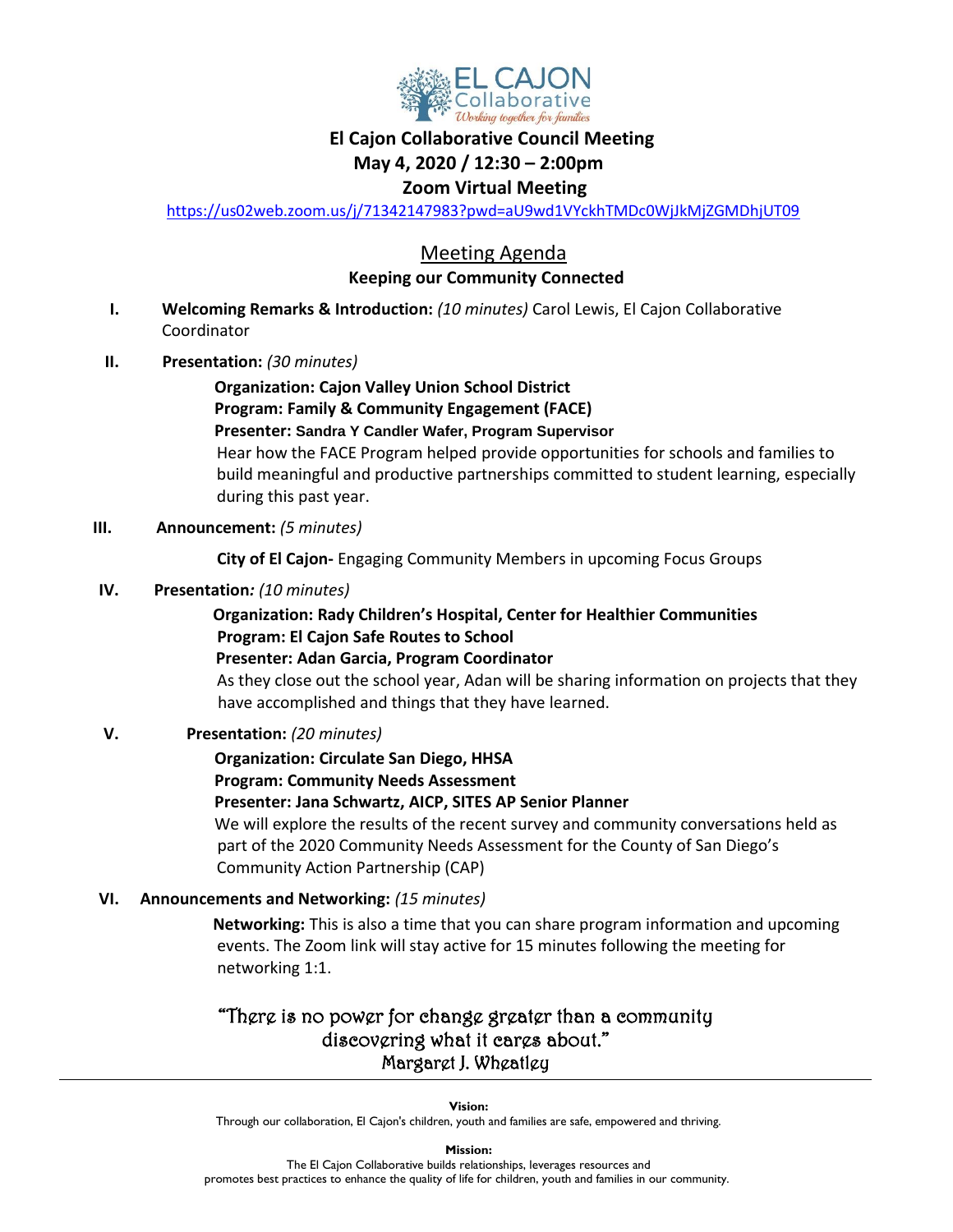

## **El Cajon Collaborative Council Meeting**

#### **May 4, 2020 / 12:30 – 2:00pm**

#### **Zoom Virtual Meeting**

<https://us02web.zoom.us/j/71342147983?pwd=aU9wd1VYckhTMDc0WjJkMjZGMDhjUT09>

### Meeting Agenda  **Keeping our Community Connected**

- **I. Welcoming Remarks & Introduction:** *(10 minutes)* Carol Lewis, El Cajon Collaborative Coordinator
- **II. Presentation:** *(30 minutes)*

 **Organization: Cajon Valley Union School District Program: Family & Community Engagement (FACE) Presenter: Sandra Y Candler Wafer, Program Supervisor** Hear how the FACE Program helped provide opportunities for schools and families to build meaningful and productive partnerships committed to student learning, especially during this past year.

#### **III. Announcement:** *(5 minutes)*

 **City of El Cajon-** Engaging Community Members in upcoming Focus Groups

**IV. Presentation***: (10 minutes)*

### **Organization: Rady Children's Hospital, Center for Healthier Communities Program: El Cajon Safe Routes to School**

 **Presenter: Adan Garcia, Program Coordinator**

As they close out the school year, Adan will be sharing information on projects that they have accomplished and things that they have learned.

#### **V. Presentation:** *(20 minutes)*

#### **Organization: Circulate San Diego, HHSA**

 **Program: Community Needs Assessment**

#### **Presenter: Jana Schwartz, AICP, SITES AP Senior Planner**

We will explore the results of the recent survey and community conversations held as part of the 2020 Community Needs Assessment for the County of San Diego's Community Action Partnership (CAP)

**VI. Announcements and Networking:** *(15 minutes)*

 **Networking:** This is also a time that you can share program information and upcoming events. The Zoom link will stay active for 15 minutes following the meeting for networking 1:1.

## "There is no power for change greater than a community discovering what it cares about." Margaret J. Wheatley

**Vision:** 

Through our collaboration, El Cajon's children, youth and families are safe, empowered and thriving.

**Mission:**

The El Cajon Collaborative builds relationships, leverages resources and promotes best practices to enhance the quality of life for children, youth and families in our community.